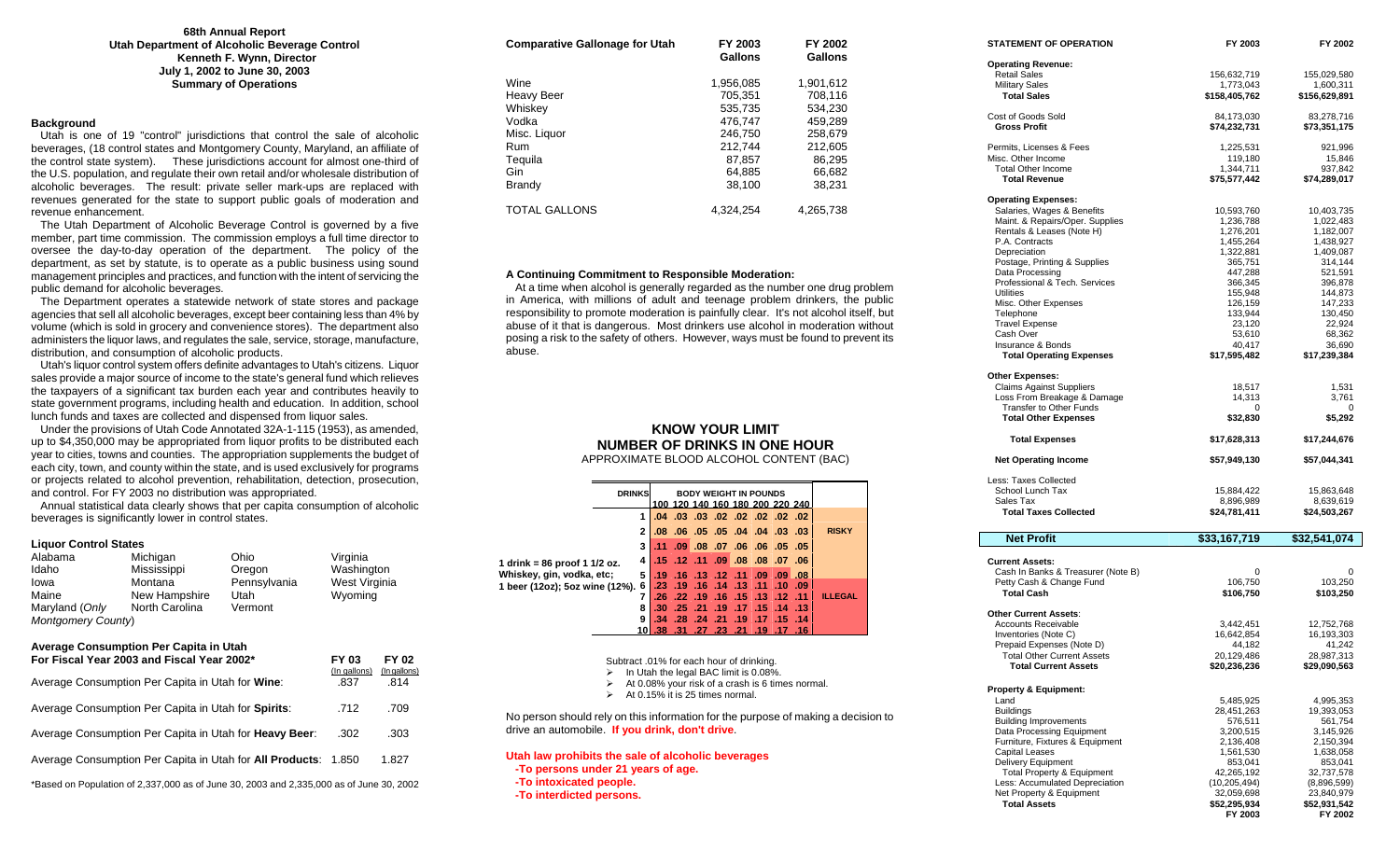#### **68th Annual Report Utah Department of Alcoholic Beverage Control Kenneth F. Wynn, Director July 1, 2002 to June 30, 2003 Summary of Operations**

#### **Background**

 Utah is one of 19 "control" jurisdictions that control the sale of alcoholic beverages, (18 control states and Montgomery County, Maryland, an affiliate of the control state system). These jurisdictions account for almost one-third of the U.S. population, and regulate their own retail and/or wholesale distribution of alcoholic beverages. The result: private seller mark-ups are replaced with revenues generated for the state to support public goals of moderation and revenue enhancement.

 The Utah Department of Alcoholic Beverage Control is governed by a five member, part time commission. The commission employs a full time director to oversee the day-to-day operation of the department. The policy of the department, as set by statute, is to operate as a public business using sound management principles and practices, and function with the intent of servicing the public demand for alcoholic beverages.

 The Department operates a statewide network of state stores and package agencies that sell all alcoholic beverages, except beer containing less than 4% by volume (which is sold in grocery and convenience stores). The department also administers the liquor laws, and regulates the sale, service, storage, manufacture, distribution, and consumption of alcoholic products.

 Utah's liquor control system offers definite advantages to Utah's citizens. Liquor sales provide a major source of income to the state's general fund which relieves the taxpayers of a significant tax burden each year and contributes heavily to state government programs, including health and education. In addition, school lunch funds and taxes are collected and dispensed from liquor sales.

 Under the provisions of Utah Code Annotated 32A-1-115 (1953), as amended, up to \$4,350,000 may be appropriated from liquor profits to be distributed each year to cities, towns and counties. The appropriation supplements the budget of each city, town, and county within the state, and is used exclusively for programs or projects related to alcohol prevention, rehabilitation, detection, prosecution, and control. For FY 2003 no distribution was appropriated.

 Annual statistical data clearly shows that per capita consumption of alcoholic beverages is significantly lower in control states.

#### **Liquor Control States**

| Alabama                   | Michigan       | Ohio         | Virginia      |
|---------------------------|----------------|--------------|---------------|
| Idaho                     | Mississippi    | Oregon       | Washington    |
| Iowa                      | Montana        | Pennsylvania | West Virginia |
| Maine                     | New Hampshire  | Utah         | Wyoming       |
| Maryland (Only            | North Carolina | Vermont      |               |
| <b>Montgomery County)</b> |                |              |               |

#### **Average Consumption Per Capita in Utah For Fiscal Year 2003 and Fiscal Year 2002\* FY 03 FY 02**

|                                                                                         | (In gallons) | (In gallons) |
|-----------------------------------------------------------------------------------------|--------------|--------------|
| Average Consumption Per Capita in Utah for Wine:                                        | .837         | .814         |
| Average Consumption Per Capita in Utah for Spirits:                                     | .712         | .709         |
| Average Consumption Per Capita in Utah for Heavy Beer:                                  | .302         | .303         |
| Average Consumption Per Capita in Utah for <b>All Products</b> : 1.850                  |              | 1.827        |
| *Based on Penulation of 2.337,000 as of June 30, 2003 and 2.335,000 as of June 30, 2002 |              |              |

| *Based on Population of 2,337,000 as of June 30, 2003 and 2,335,000 as of June 30, 2002 |  |
|-----------------------------------------------------------------------------------------|--|
|-----------------------------------------------------------------------------------------|--|

| <b>Comparative Gallonage for Utah</b> | FY 2003<br>Gallons | FY 2002<br>Gallons |
|---------------------------------------|--------------------|--------------------|
| Wine                                  | 1.956.085          | 1.901.612          |
| Heavy Beer                            | 705.351            | 708.116            |
| Whiskey                               | 535.735            | 534.230            |
| Vodka                                 | 476.747            | 459.289            |
| Misc. Liquor                          | 246.750            | 258.679            |
| Rum                                   | 212,744            | 212.605            |
| Tequila                               | 87.857             | 86,295             |
| Gin                                   | 64.885             | 66.682             |
| Brandy                                | 38.100             | 38.231             |
| <b>TOTAL GALLONS</b>                  | 4.324.254          | 4,265,738          |

#### **A Continuing Commitment to Responsible Moderation:**

 At a time when alcohol is generally regarded as the number one drug problem in America, with millions of adult and teenage problem drinkers, the public responsibility to promote moderation is painfully clear. It's not alcohol itself, but abuse of it that is dangerous. Most drinkers use alcohol in moderation without posing a risk to the safety of others. However, ways must be found to prevent its abuse.

### **KNOW YOUR LIMIT NUMBER OF DRINKS IN ONE HOUR** APPROXIMATE BLOOD ALCOHOL CONTENT (BAC)

|                                  | <b>DRINKS</b> |  |  | <b>BODY WEIGHT IN POUNDS</b><br>100 120 140 160 180 200 220 240 |  |                |
|----------------------------------|---------------|--|--|-----------------------------------------------------------------|--|----------------|
|                                  |               |  |  | .02 .02 .02 .02 .02 .02 .04 .03                                 |  |                |
|                                  |               |  |  | 03. 03. 04. 04. 04. 05. 06. 06.                                 |  | <b>RISKY</b>   |
|                                  | 3             |  |  | 105. 05. 06. 06. 07. 08. 09. 11.                                |  |                |
| 1 drink = 86 proof 1 1/2 oz.     |               |  |  | $\vert$ .15 .12 .11 .09 .08 .08 .07 .06                         |  |                |
| Whiskey, gin, vodka, etc;        |               |  |  | 5 .19 .16 .13 .12 .11 .09 .09 .08                               |  |                |
| 1 beer (12oz); 5oz wine (12%). 6 |               |  |  | 09. 10. 11. 13. 14. 16. 19. 23.                                 |  |                |
|                                  |               |  |  | .26 .22 .19 .16 .15 .13 .12 .11                                 |  | <b>ILLEGAL</b> |
|                                  | я             |  |  | $.30$ $.25$ $.21$ $.19$ $.17$ $.15$ $.14$ $.13$                 |  |                |
|                                  | 9             |  |  | 34 28 24 21 19 17 15 14                                         |  |                |
|                                  |               |  |  | 16. 17. 19. 21. 23. 27. 31. 31. 18.                             |  |                |

Subtract .01% for each hour of drinking.

 $\triangleright$  In Utah the legal BAC limit is 0.08%.

 $\triangleright$  At 0.08% your risk of a crash is 6 times normal.

 $\triangleright$  At 0.15% it is 25 times normal.

No person should rely on this information for the purpose of making a decision to drive an automobile. **If you drink, don't drive**.

#### **Utah law prohibits the sale of alcoholic beverages**

- **-To persons under 21 years of age.**
- **-To intoxicated people.**
- **-To interdicted persons.**

| <b>STATEMENT OF OPERATION</b>                                | FY 2003                    | FY 2002                    |
|--------------------------------------------------------------|----------------------------|----------------------------|
| <b>Operating Revenue:</b>                                    |                            |                            |
| <b>Retail Sales</b>                                          | 156,632,719                | 155,029,580                |
| <b>Military Sales</b>                                        | 1,773,043                  | 1,600,311                  |
| <b>Total Sales</b>                                           | \$158,405,762              | \$156,629,891              |
| Cost of Goods Sold                                           | 84,173,030                 | 83,278,716                 |
| <b>Gross Profit</b>                                          | \$74,232,731               | \$73,351,175               |
| Permits, Licenses & Fees                                     | 1,225,531                  | 921,996                    |
| Misc. Other Income                                           | 119,180                    | 15,846                     |
| <b>Total Other Income</b>                                    | 1,344,711                  | 937,842                    |
| <b>Total Revenue</b>                                         | \$75,577,442               | \$74,289,017               |
| <b>Operating Expenses:</b>                                   |                            |                            |
| Salaries, Wages & Benefits                                   | 10,593,760                 | 10,403,735                 |
| Maint. & Repairs/Oper. Supplies<br>Rentals & Leases (Note H) | 1,236,788<br>1,276,201     | 1,022,483<br>1,182,007     |
| P.A. Contracts                                               | 1,455,264                  | 1,438,927                  |
| Depreciation                                                 | 1,322,881                  | 1,409,087                  |
| Postage, Printing & Supplies                                 | 365,751                    | 314,144                    |
| Data Processing                                              | 447,288                    | 521,591                    |
| Professional & Tech. Services                                | 366,345                    | 396,878                    |
| <b>Utilities</b>                                             | 155,948                    | 144,873                    |
| Misc. Other Expenses                                         | 126,159                    | 147,233                    |
| Telephone<br><b>Travel Expense</b>                           | 133,944<br>23,120          | 130,450<br>22,924          |
| Cash Over                                                    | 53,610                     | 68,362                     |
| Insurance & Bonds                                            | 40,417                     | 36,690                     |
| <b>Total Operating Expenses</b>                              | \$17,595,482               | \$17,239,384               |
| <b>Other Expenses:</b>                                       |                            |                            |
| <b>Claims Against Suppliers</b>                              | 18,517                     | 1,531                      |
| Loss From Breakage & Damage                                  | 14,313                     | 3,761                      |
| Transfer to Other Funds                                      | 0                          | 0                          |
| <b>Total Other Expenses</b>                                  | \$32,830                   | \$5,292                    |
| <b>Total Expenses</b>                                        | \$17,628,313               | \$17,244,676               |
| <b>Net Operating Income</b>                                  | \$57,949,130               | \$57,044,341               |
| Less: Taxes Collected                                        |                            |                            |
| School Lunch Tax                                             | 15,884,422                 | 15,863,648                 |
| Sales Tax                                                    | 8,896,989                  | 8,639,619                  |
| <b>Total Taxes Collected</b>                                 | \$24,781,411               | \$24,503,267               |
| <b>Net Profit</b>                                            | \$33,167,719               | \$32,541,074               |
|                                                              |                            |                            |
| <b>Current Assets:</b><br>Cash In Banks & Treasurer (Note B) | 0                          | 0                          |
| Petty Cash & Change Fund                                     | 106,750                    | 103,250                    |
| <b>Total Cash</b>                                            | \$106,750                  | \$103,250                  |
| <b>Other Current Assets:</b>                                 |                            |                            |
| <b>Accounts Receivable</b>                                   | 3,442,451                  | 12,752,768                 |
| Inventories (Note C)                                         | 16,642,854                 | 16,193,303                 |
| Prepaid Expenses (Note D)                                    | 44,182                     | 41,242                     |
| <b>Total Other Current Assets</b>                            |                            |                            |
|                                                              | 20,129,486                 | 28,987,313                 |
| <b>Total Current Assets</b>                                  | \$20,236,236               | \$29,090,563               |
| <b>Property &amp; Equipment:</b>                             |                            |                            |
| Land                                                         | 5,485,925                  | 4,995,353                  |
| <b>Buildings</b>                                             | 28,451,263                 | 19,393,053                 |
| <b>Building Improvements</b>                                 | 576,511                    | 561,754                    |
| Data Processing Equipment                                    | 3,200,515                  | 3,145,926                  |
| Furniture, Fixtures & Equipment                              | 2,136,408                  | 2,150,394<br>1.638.058     |
| <b>Capital Leases</b><br><b>Delivery Equipment</b>           | 1,561,530<br>853,041       | 853,041                    |
| <b>Total Property &amp; Equipment</b>                        | 42,265,192                 | 32,737,578                 |
| Less: Accumulated Depreciation                               | (10, 205, 494)             | (8,896,599)                |
| Net Property & Equipment<br><b>Total Assets</b>              | 32,059,698<br>\$52,295,934 | 23,840,979<br>\$52,931,542 |